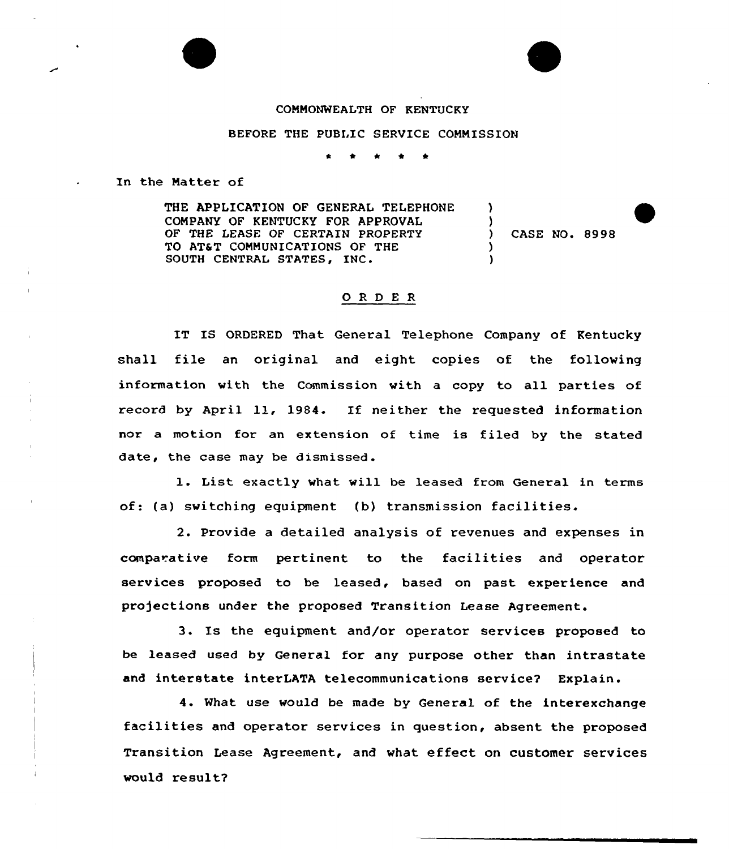## COMMONWEALTH OF KENTUCKY

## BEFORE THE PUBLIC SERVICE COMMISSION

In the Matter of

THE APPLICATION OF GENERAL TELEPHONE COMPANY OF KENTUCKY FOR APPROVAL OF THE LEASE OF CERTAIN PROPERTY TO AT6T COMMUNICATIONS OF THE SOUTH CENTRAL STATES, INC.  $\lambda$ ) ) CASE NO. 8998 ) )

## 0 <sup>R</sup> <sup>D</sup> E <sup>R</sup>

IT IS ORDERED That General Telephone Company of Kentucky shall file an original and eight copies of the following information with the Commission with a copy to all parties of record by April ll, 1984. If neither the requested information nor a motion for an extension of time is filed by the stated date, the case may be dismissed.

1. List exactly what will be leased from General in terms of: (a) switching equipment (b) transmission facilities.

2. Provide a detailed analysis of revenues and expenses in comparative form pertinent to the facilities and operator services proposed to be leased, based on past experience and pro)ections under the proposed Transition Lease Agreement.

3. Is the equipment and/or operator services proposed to be leased used by General for any purpose other than intrastate and interstate interLATA telecommunications service? Explain.

4. What use would be made by General of the interexchange facilities and operator services in question, absent the proposed Transition Lease Agreement, and what effect on customer services would result?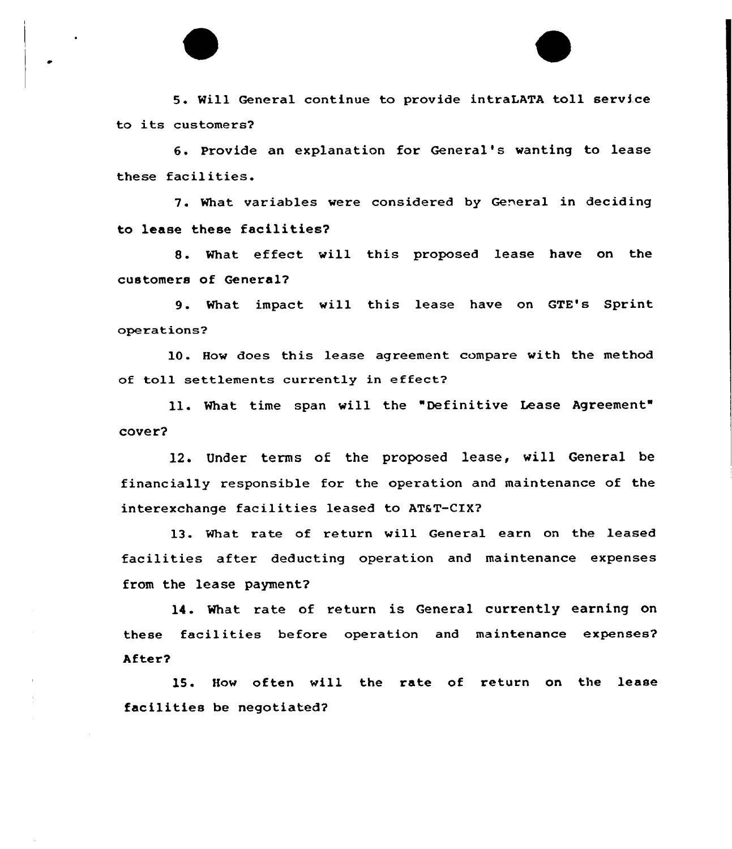5. Will General continue to provide intraLATA toll service to its customers2

6. Provide an explanation for General's wanting to lease these facilities.

7. What variables were considered by General in deciding to lease these facilities?

S. What effect will this proposed lease have on the customers of General?

9. What impact vill this lease have on GTE's Sprint operations?

10. Hov does this lease agreement compare vith the method of toll settlements currently in effect2

ll. What time span will the "Definitive Lease Agreement cover?

12. Under terms of the proposed lease, will General be financially responsible for the operation and maintenance of the interexchange facilities leased to AT&T-CIX?

13. What rate of return vill General earn on the leased facilities after deducting operation and maintenance expenses from the lease payment?

14. What rate of return is General currently earning on these faci1ities before operation and maintenance expenses? Af ter?

15. How often will the rate of return on the lease facilities be negotiated?